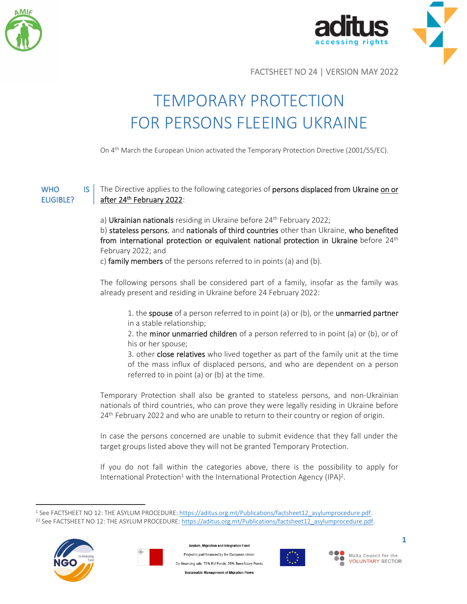



FACTSHEET NO 24 | VERSION MAY 2022

## TEMPORARY PROTECTION FOR PERSONS FLEEING UKRAINE

On 4th March the European Union activated the Temporary Protection Directive (2001/55/EC).

## WHO **IS** ELIGIBLE? The Directive applies to the following categories of persons displaced from Ukraine on or after 24<sup>th</sup> February 2022:

a) Ukrainian nationals residing in Ukraine before 24<sup>th</sup> February 2022;

b) stateless persons, and nationals of third countries other than Ukraine, who benefited from international protection or equivalent national protection in Ukraine before  $24<sup>th</sup>$ February 2022; and

c) family members of the persons referred to in points (a) and (b).

The following persons shall be considered part of a family, insofar as the family was already present and residing in Ukraine before 24 February 2022:

1. the spouse of a person referred to in point (a) or (b), or the unmarried partner in a stable relationship;

2. the minor unmarried children of a person referred to in point (a) or (b), or of his or her spouse;

3. other close relatives who lived together as part of the family unit at the time of the mass influx of displaced persons, and who are dependent on a person referred to in point (a) or (b) at the time.

Temporary Protection shall also be granted to stateless persons, and non-Ukrainian nationals of third countries, who can prove they were legally residing in Ukraine before 24<sup>th</sup> February 2022 and who are unable to return to their country or region of origin.

In case the persons concerned are unable to submit evidence that they fall under the target groups listed above they will not be granted Temporary Protection.

If you do not fall within the categories above, there is the possibility to apply for International Protection<sup>1</sup> with the International Protection Agency (IPA)<sup>2</sup>.

<sup>1</sup> See FACTSHEET NO 12: THE ASYLUM PROCEDURE[: https://aditus.org.mt/Publications/factsheet12\\_asylumprocedure.pdf.](https://aditus.org.mt/Publications/factsheet12_asylumprocedure.pdf)  <sup>22</sup> See FACTSHEET NO 12: THE ASYLUM PROCEDURE[: https://aditus.org.mt/Publications/factsheet12\\_asylumprocedure.pdf.](https://aditus.org.mt/Publications/factsheet12_asylumprocedure.pdf)





sylum, Migration and Integration Fund Project is part-financed by the European Union .<br>Co-financing rate: 75% EU Funds: 25% Beneficiary Funds .<br>Sustainable Management of Migration Flows



Malta Council for the **VOLUNTARY SECTOR** 

**1**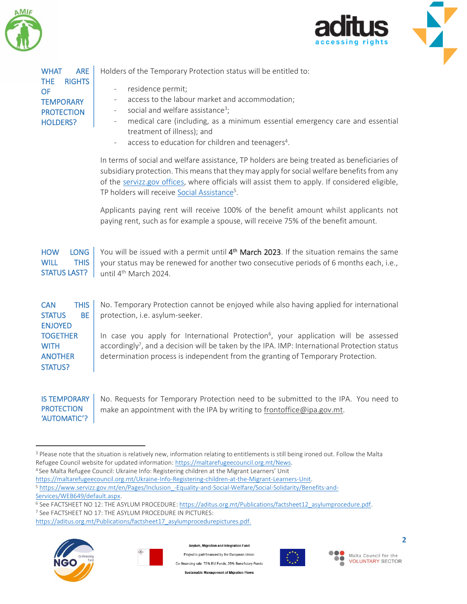

WHAT ARE THE RIGHTS



| <b>OF</b><br><b>TEMPORARY</b><br><b>PROTECTION</b><br><b>HOLDERS?</b>          | residence permit;<br>$\qquad \qquad -$<br>access to the labour market and accommodation;<br>$\overline{\phantom{a}}$<br>social and welfare assistance <sup>3</sup> ;<br>$\overline{\phantom{a}}$<br>medical care (including, as a minimum essential emergency care and essential<br>$\overline{\phantom{a}}$<br>treatment of illness); and<br>access to education for children and teenagers <sup>4</sup> . |
|--------------------------------------------------------------------------------|-------------------------------------------------------------------------------------------------------------------------------------------------------------------------------------------------------------------------------------------------------------------------------------------------------------------------------------------------------------------------------------------------------------|
|                                                                                | In terms of social and welfare assistance, TP holders are being treated as beneficiaries of<br>subsidiary protection. This means that they may apply for social welfare benefits from any<br>of the servizz.gov offices, where officials will assist them to apply. If considered eligible,<br>TP holders will receive Social Assistance <sup>5</sup> .                                                     |
|                                                                                | Applicants paying rent will receive 100% of the benefit amount whilst applicants not<br>paying rent, such as for example a spouse, will receive 75% of the benefit amount.                                                                                                                                                                                                                                  |
| <b>LONG</b><br><b>HOW</b><br><b>THIS</b><br><b>WILL</b><br><b>STATUS LAST?</b> | You will be issued with a permit until 4 <sup>th</sup> March 2023. If the situation remains the same<br>your status may be renewed for another two consecutive periods of 6 months each, i.e.,<br>until 4 <sup>th</sup> March 2024.                                                                                                                                                                         |
| <b>THIS</b><br><b>CAN</b><br><b>BE</b><br><b>STATUS</b><br><b>ENJOYED</b>      | No. Temporary Protection cannot be enjoyed while also having applied for international<br>protection, i.e. asylum-seeker.                                                                                                                                                                                                                                                                                   |
| <b>TOGETHER</b><br><b>WITH</b><br><b>ANOTHER</b><br><b>STATUS?</b>             | In case you apply for International Protection <sup>6</sup> , your application will be assessed<br>accordingly <sup>7</sup> , and a decision will be taken by the IPA. IMP: International Protection status<br>determination process is independent from the granting of Temporary Protection.                                                                                                              |
| <b>IS TEMPORARY</b>                                                            | No. Requests for Temporary Protection need to be submitted to the IPA. You need to                                                                                                                                                                                                                                                                                                                          |

Holders of the Temporary Protection status will be entitled to:

**PROTECTION** 'AUTOMATIC'? No. Requests for Temporary Protection need to be submitted to the IPA. You need to make an appointment with the IPA by writing to [frontoffice@ipa.gov.mt.](mailto:frontoffice@ipa.gov.mt)

[https://aditus.org.mt/Publications/factsheet17\\_asylumprocedurepictures.pdf.](https://aditus.org.mt/Publications/factsheet17_asylumprocedurepictures.pdf)





Asylum, Migration and Integration Fund

Project is part-financed by the European Union Co-financing rate: 75% EU Funds; 25% Beneficiary Funds **Sustainable Management of Migration Flows** 



Malta Council for the  $\bullet$ **VOLUNTARY SECTOR** 

<sup>&</sup>lt;sup>3</sup> Please note that the situation is relatively new, information relating to entitlements is still being ironed out. Follow the Malta Refugee Council website for updated information[: https://maltarefugeecouncil.org.mt/News.](https://maltarefugeecouncil.org.mt/News) 

<sup>4</sup> See Malta Refugee Council: Ukraine Info: Registering children at the Migrant Learners' Unit

[https://maltarefugeecouncil.org.mt/Ukraine-Info-Registering-children-at-the-Migrant-Learners-Unit.](https://maltarefugeecouncil.org.mt/Ukraine-Info-Registering-children-at-the-Migrant-Learners-Unit)

<sup>5</sup> [https://www.servizz.gov.mt/en/Pages/Inclusion\\_-Equality-and-Social-Welfare/Social-Solidarity/Benefits-and-](https://www.servizz.gov.mt/en/Pages/Inclusion_-Equality-and-Social-Welfare/Social-Solidarity/Benefits-and-Services/WEB649/default.aspx)[Services/WEB649/default.aspx.](https://www.servizz.gov.mt/en/Pages/Inclusion_-Equality-and-Social-Welfare/Social-Solidarity/Benefits-and-Services/WEB649/default.aspx)

<sup>&</sup>lt;sup>6</sup> See FACTSHEET NO 12: THE ASYLUM PROCEDURE[: https://aditus.org.mt/Publications/factsheet12\\_asylumprocedure.pdf.](https://aditus.org.mt/Publications/factsheet12_asylumprocedure.pdf) <sup>7</sup> See FACTSHEET NO 17: THE ASYLUM PROCEDURE IN PICTURES: